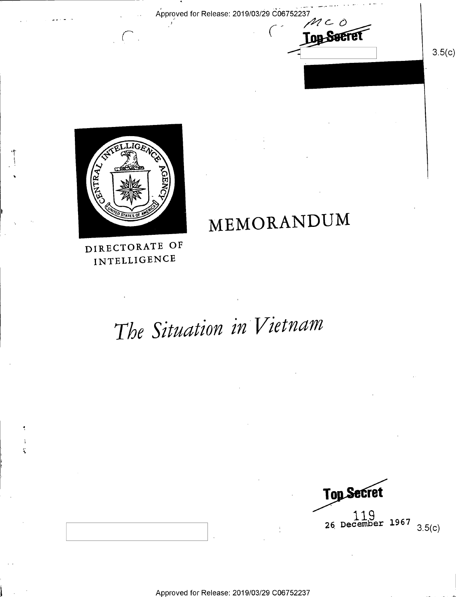Approved for Release: 2019/03/29 C06752237



 $3.5(c)$ 



MEMORANDUM

DIRECTORATE OF INTELLIGENCE

ï

# The Situation in Vietnam

Top Secret  $119$ <br>26 December 1967  $3.5(c)$ 

Approved for Release: 2019/03/29 C06752237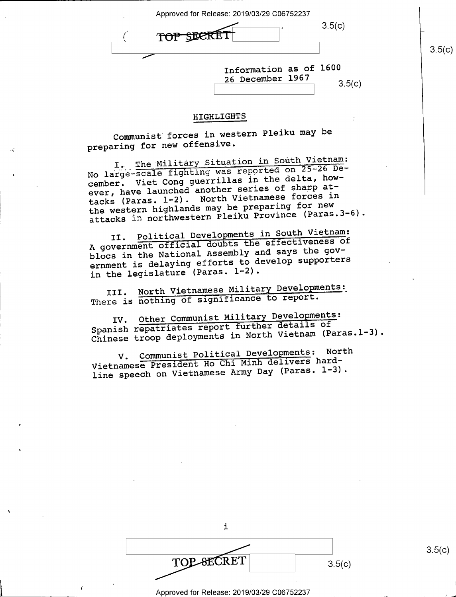| Approved for Release: 2019/03/29 C06752237 |
|--------------------------------------------|
| 3.5(c)                                     |
| 3.5(c)                                     |
|                                            |
| Information as of 1600<br>26 December 1967 |
| 3.5(c)                                     |

## HIGHLIGHTS

Communist forces in western Pleiku may be preparing for new offensive.

I. The Military Situation in South Vietnam: No large-scale fighting was reported on 25-26 December. Viet Cong guerrillas in the delta, however, have launched another series of sharp attacks (Paras. 1-2). North Vietnamese forces in the western highlands may be preparing for new attacks in northwestern Pleiku Province (Paras. 3-6).

II. Political Developments in South Vietnam: A government official doubts the effectiveness of blocs in the National Assembly and says the government is delaying efforts to develop supporters in the legislature (Paras. 1-2).

III. North Vietnamese Military Developments; There is nothing of significance to report.

IV. Other Communist Military Developments: Spanish repatriates report further details of Chinese troop deployments in North Vietnam (Paras.l-3).

V. Communist Political Developments: North Vietnamese President Ho Chi Minh delivers hardline speech on Vietnamese Army Day (Paras. 1-3).

-

1

 $\overline{\phantom{a}}$ 

| 3.5(c) |  |
|--------|--|
|        |  |

Approved for Release: 2019/03/29 C06752237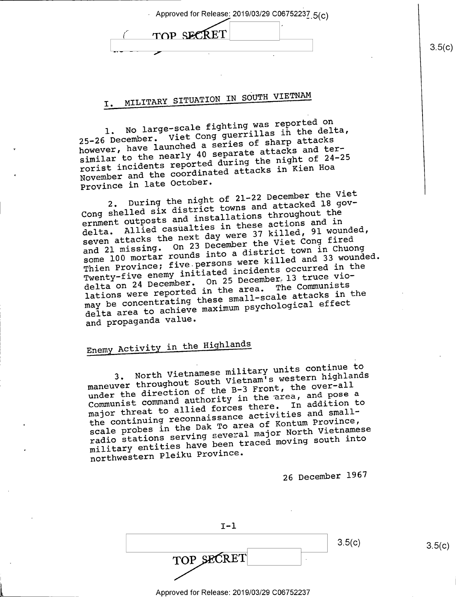| - Approved for Release: 2019/03/29 C06752237.5(c) |        |
|---------------------------------------------------|--------|
| TOP SECRET                                        |        |
|                                                   | 3.5(c) |
|                                                   |        |

## I. MILITARY SITUATION IN SOUTH VIETNAM

No large-scale fighting was reported on 25-26 December. Viet Cong guerrillas in the delta, however, have launched a series of sharp attacks similar to the nearly 40 separate attacks and terrorist incidents reported during the night of 24-25 November and the coordinated attacks in Kien Hoa Province in late October.

During the night of 21-22 December the Viet Cong shelled six district towns and attacked l8 government outposts and installations throughout the delta. Allied casualties in these actions and in seven attacks the next day were 37 killed, 91 wounded, and 21 missing. On 23 December the Viet Cong fired some 100 mortar rounds into a district town in Chuong some 100 mortar rounds inco a circuit and 33 wounded.<br>Thien Province; five persons were killed and 33 wounded. Twenty-five enemy initiated incidents occurred in the delta on 24 December. On 25 December, 13 truce violations were reported in the area. The Communists may be concentrating these small-scale attacks in the delta area to achieve maximum psychological effect and propaganda value.

## Enemy Activity in the Highlands

3. North Vietnamese military units continue to maneuver throughout South Vietnam's western highlands under the direction of the B-3 Front, the over-all Communist command authority in the area, and pose <sup>a</sup> major threat to allied forces there. In addition to the continuing reconnaissance activities and smallscale probes in the Dak To area of Kontum Province, radio stations serving several major North Vietnamese military entities have been traced moving south into northwestern Pleiku Province.

26 December 1967

| エーコ        |        |
|------------|--------|
|            | 3.5(c) |
| TOP SECRET |        |
|            |        |

 $(3.5(c))$ 

- Approved for Release: 2019/03/29 C06752237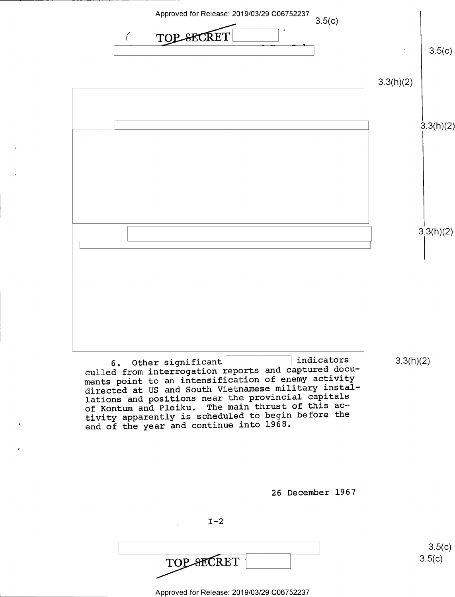

lations and positions near the provincial capitals of Kontum and Pleiku. The main thrust of this activity apparently is scheduled to begin before the end of the year and continue into 1968.

26 December 1967

 $I-2$ 

 $\frac{1}{2}$  s.5(c) i

Approved for Release: 2019/03/29 C06752237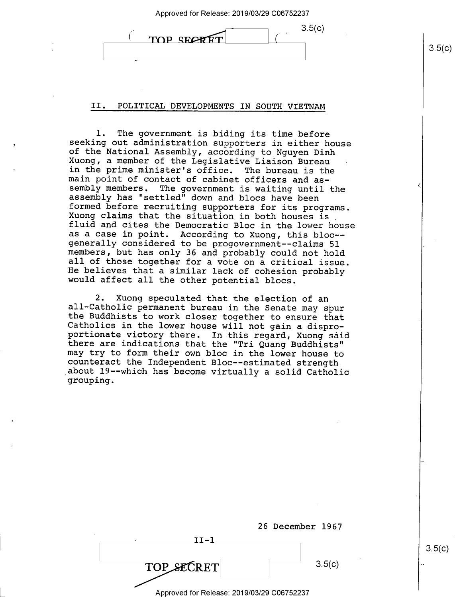| Approved for Release: 2019/03/29 C06752237 |
|--------------------------------------------|
|--------------------------------------------|

| TOP SECRET | 35(n) |
|------------|-------|
|            |       |

## II. POLITICAL DEVELOPMENTS IN SOUTH VIETNAM

1. The government is biding its time before<br>seeking out administration supporters in either house<br>of the National Assembly, according to Nguyen Dinh<br>Xuong, a member of the Legislative Liaison Bureau<br>in the prime minister's assembly has "settled" down and blocs have been<br>formed before recruiting supporters for its programs.<br>Xuong claims that the situation in both houses is<br>fluid and cites the Democratic Bloc in the lower house<br>as a case in po generally considered to be progovernment--claims 51<br>members, but has only 36 and probably could not hold<br>all of those together for a vote on a critical issue.<br>He believes that a similar lack of cohesion probably<br>would affe

2. Xuong speculated that the election of an<br>all-Catholic permanent bureau in the Senate may spur<br>the Buddhists to work closer together to ensure that<br>Catholics in the lower house will not gain a dispro-<br>portionate victory

|                                            | 26 December 1967 |
|--------------------------------------------|------------------|
| $II - 1$                                   |                  |
| TOP SECRET                                 | 3.5(c)           |
| Approved for Release: 2019/03/29 C06752237 |                  |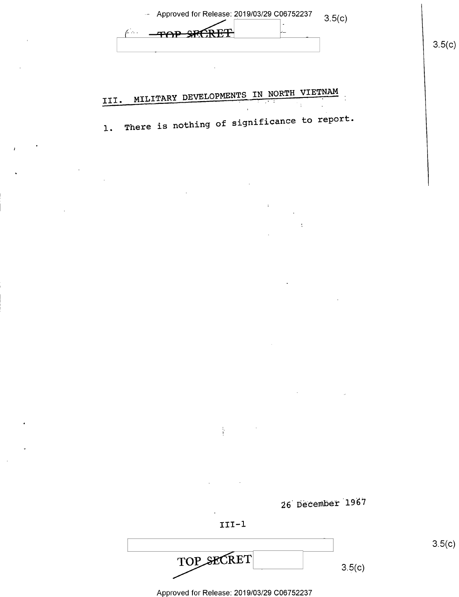| <b>SPECRET</b>                                                                                                                                                                                                                                                                                | 3.5(c) |
|-----------------------------------------------------------------------------------------------------------------------------------------------------------------------------------------------------------------------------------------------------------------------------------------------|--------|
| MILITARY DEVELOPMENTS IN NORTH VIETNAM                                                                                                                                                                                                                                                        |        |
| III.<br>का पुरुष क<br>÷<br>$\pmb{\cdot}$<br>There is nothing of significance to report.<br>$1.$                                                                                                                                                                                               |        |
|                                                                                                                                                                                                                                                                                               |        |
|                                                                                                                                                                                                                                                                                               |        |
| $\sim$                                                                                                                                                                                                                                                                                        |        |
| ÷                                                                                                                                                                                                                                                                                             |        |
|                                                                                                                                                                                                                                                                                               |        |
|                                                                                                                                                                                                                                                                                               |        |
|                                                                                                                                                                                                                                                                                               |        |
|                                                                                                                                                                                                                                                                                               |        |
| $\epsilon$<br>$\label{eq:2.1} \frac{1}{\sqrt{2}}\int_{\mathbb{R}^3}\frac{1}{\sqrt{2}}\left(\frac{1}{\sqrt{2}}\right)^2\left(\frac{1}{\sqrt{2}}\right)^2\left(\frac{1}{\sqrt{2}}\right)^2\left(\frac{1}{\sqrt{2}}\right)^2\left(\frac{1}{\sqrt{2}}\right)^2\left(\frac{1}{\sqrt{2}}\right)^2.$ |        |
|                                                                                                                                                                                                                                                                                               |        |
| $\frac{1}{4}$ , $\frac{1}{4}$ , $\frac{1}{4}$ , $\frac{1}{4}$ , $\frac{1}{4}$                                                                                                                                                                                                                 |        |
|                                                                                                                                                                                                                                                                                               |        |
| 26 December 1967                                                                                                                                                                                                                                                                              |        |
|                                                                                                                                                                                                                                                                                               |        |
| $III-1$                                                                                                                                                                                                                                                                                       | 3.5(c) |

 $\overline{1}$ 

 $\bar{z}$ 

Approved for Release: 2019/03/29 C06752237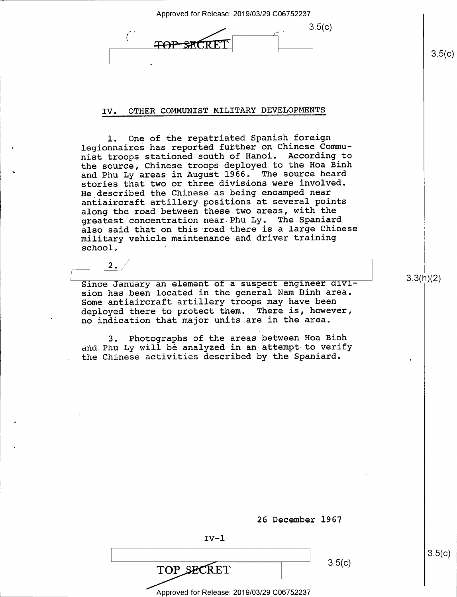Approved for Release: 2019/03/29 C06752237  $3.5(c)$ <del>TOP STORE</del>

## IV. OTHER COMMUNIST MILITARY DEVELOPMENTS

l. One of the repatriated Spanish foreign legionnaires has reported further on Chinese Communist troops stationed south of Hanoi. According to the source, Chinese troops deployed to the Hoa Binh and Phu Ly areas in August 1966. The source heard stories that two or three divisions were involved. He described the Chinese as being encamped near antiaircraft artillery positions at several points along the road between these two areas, with the greatest concentration near Phu Ly. The Spaniard also said that on this road there is a large Chinese military vehicle maintenance and driver training school.

Since January an element of a suspect engineer division has been.located in the general Nam Dinh area. Some antiaircraft artillery troops may have been deployed there to protect them. There is, however, no indication that major units.are in the area.

 $2.$ 

3. Photographs of the areas between Hoa Binh and.Phu Ly will be analyzed in an attempt-to verify the Chinese activities described by the Spaniard.

3.3(h)(2)

 $3.5(c)$ 

26 December 1967

 $IV-1$ 

' '

 $\overline{TOP \ SECRET}$  3.5(c)

 $3.5(c)$ 

Approved for Release: 2019/03/29 006752237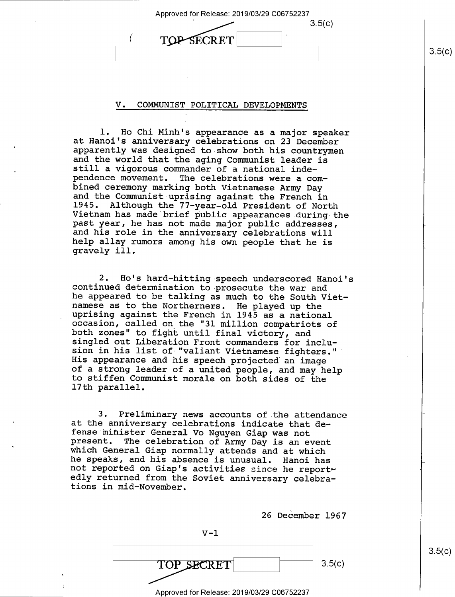| Approved for Release: 2019/03/29 C06752237 |        |
|--------------------------------------------|--------|
| 3.5(c)                                     |        |
| . .<br>RFT                                 | 3.5(c) |
|                                            |        |

### V. COMMUNIST POLITICAL DEVELOPMENTS

1. Ho Chi Minh's appearance as a major speaker<br>at Hanoi's anniversary celebrations on 23 December<br>apparently was designed to show both his countrymen<br>and the world that the aging Communist leader is<br>still a vigorous comman and the Communist uprising against the French in<br>1945. Although the 77-year-old President of North<br>Vietnam has made brief public appearances during the<br>past year, he has not made major public addresses,<br>and his role in the gravely ill.

2. Ho's hard-hitting speech underscored Hanoi's<br>continued determination to prosecute the war and<br>he appeared to be talking as much to the South Viet-<br>namese as to the Northerners. He played up the<br>uprising against the Fren of a strong leader of a united people, and may help<br>to stiffen Communist morale on both sides of the<br>17th parallel.

3. Preliminary news accounts of the attendance<br>at the anniversary celebrations indicate that de-<br>fense minister General Vo Nguyen Giap was not<br>present. The celebration of Army Day is an event<br>which General Giap normally at

26 December 1967

 $V-1$  $\overline{\text{RET}}$  3.5(c) 3.5(c) Approved for Release: 2019/03/29 C06752237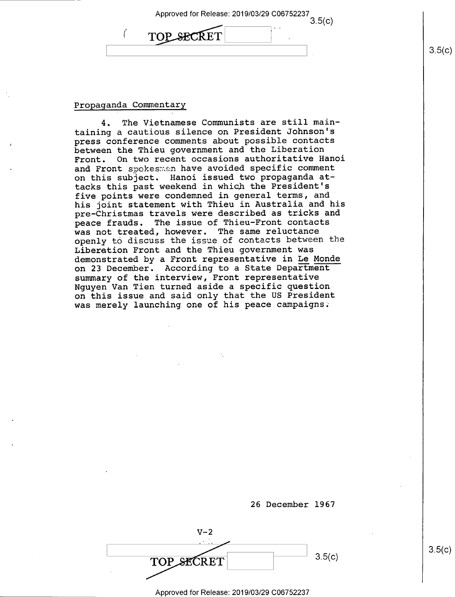| Approved for Release: 2019/03/29 C06752237 |  |
|--------------------------------------------|--|
| $\sim$<br><b>PSECRET</b>                   |  |
|                                            |  |

### Propaganda Commentary

4. The Vietnamese Communists are still maintaining a cautious silence on President Johnson's press conference comments about possible contacts between the Thieu government and the Liberation Front. On two recent occasions authoritative Hanoi and Front spokesmen have avoided specific comment on this subject. Hanoi issued two propaganda attacks this past weekend in which the President's five points were condemned in general terms, and his joint statement with Thieu in Australia and his pre—Christmas travels were described as tricks and peace frauds. The issue of Thieu-Front contacts was not treated, however. The same reluctance openly to discuss the issue of contacts between the Liberation Front and the Thieu government was demonstrated by a Front representative in Le Monde on 23 December. According to a State Department summary of the interview, Front representative Nguyen Van Tien turned aside a specific question on this issue and said only that the US President was merely launching one of his peace campaigns:

26 December 1967

 $V-2$ TOP SECRET 3.5(c)

Approved for Release: 2019/03/29 C06752237

 $3.5(c)$